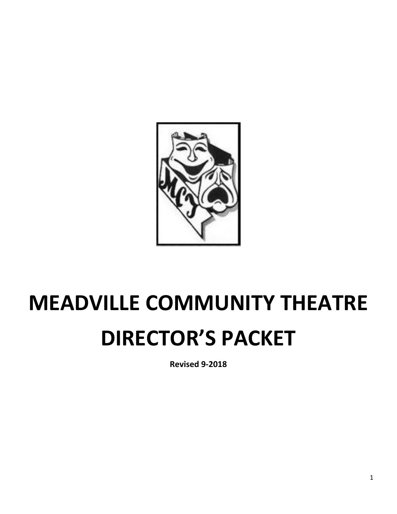

# **MEADVILLE COMMUNITY THEATRE DIRECTOR'S PACKET**

**Revised 9-2018**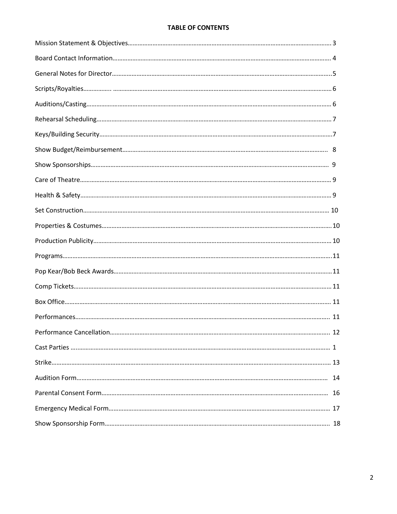#### **TABLE OF CONTENTS**

| $\label{eq:3} \mathsf{Programs}.\textcolor{red}{.\textcolor{blue}{.}\textcolor{blue}{.}\textcolor{blue}{.}\textcolor{blue}{.}\textcolor{blue}{.}\textcolor{blue}{.}\textcolor{blue}{.}\textcolor{blue}{.}\textcolor{blue}{.}\textcolor{blue}{.}\textcolor{blue}{.}\textcolor{blue}{.}\textcolor{blue}{.}\textcolor{blue}{.}\textcolor{blue}{.}\textcolor{blue}{.}\textcolor{blue}{.}\textcolor{blue}{.}\textcolor{blue}{.}\textcolor{blue}{.}\textcolor{blue}{.}\textcolor{blue}{.}\textcolor{blue}{.}\textcolor{blue}{.}\textcolor{blue}{.}\textcolor{blue}{.}\textcolor{blue}{.}\textcolor{blue}{.}\textcolor{$ |  |
|-------------------------------------------------------------------------------------------------------------------------------------------------------------------------------------------------------------------------------------------------------------------------------------------------------------------------------------------------------------------------------------------------------------------------------------------------------------------------------------------------------------------------------------------------------------------------------------------------------------------|--|
|                                                                                                                                                                                                                                                                                                                                                                                                                                                                                                                                                                                                                   |  |
|                                                                                                                                                                                                                                                                                                                                                                                                                                                                                                                                                                                                                   |  |
|                                                                                                                                                                                                                                                                                                                                                                                                                                                                                                                                                                                                                   |  |
|                                                                                                                                                                                                                                                                                                                                                                                                                                                                                                                                                                                                                   |  |
|                                                                                                                                                                                                                                                                                                                                                                                                                                                                                                                                                                                                                   |  |
|                                                                                                                                                                                                                                                                                                                                                                                                                                                                                                                                                                                                                   |  |
|                                                                                                                                                                                                                                                                                                                                                                                                                                                                                                                                                                                                                   |  |
|                                                                                                                                                                                                                                                                                                                                                                                                                                                                                                                                                                                                                   |  |
|                                                                                                                                                                                                                                                                                                                                                                                                                                                                                                                                                                                                                   |  |
|                                                                                                                                                                                                                                                                                                                                                                                                                                                                                                                                                                                                                   |  |
|                                                                                                                                                                                                                                                                                                                                                                                                                                                                                                                                                                                                                   |  |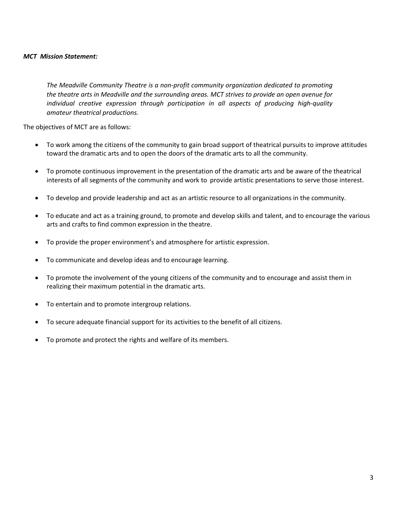#### *MCT Mission Statement:*

*The Meadville Community Theatre is a non-profit community organization dedicated to promoting the theatre arts in Meadville and the surrounding areas. MCT strives to provide an open avenue for individual creative expression through participation in all aspects of producing high-quality amateur theatrical productions.*

The objectives of MCT are as follows:

- To work among the citizens of the community to gain broad support of theatrical pursuits to improve attitudes toward the dramatic arts and to open the doors of the dramatic arts to all the community.
- To promote continuous improvement in the presentation of the dramatic arts and be aware of the theatrical interests of all segments of the community and work to provide artistic presentations to serve those interest.
- To develop and provide leadership and act as an artistic resource to all organizations in the community.
- To educate and act as a training ground, to promote and develop skills and talent, and to encourage the various arts and crafts to find common expression in the theatre.
- To provide the proper environment's and atmosphere for artistic expression.
- To communicate and develop ideas and to encourage learning.
- To promote the involvement of the young citizens of the community and to encourage and assist them in realizing their maximum potential in the dramatic arts.
- To entertain and to promote intergroup relations.
- To secure adequate financial support for its activities to the benefit of all citizens.
- To promote and protect the rights and welfare of its members.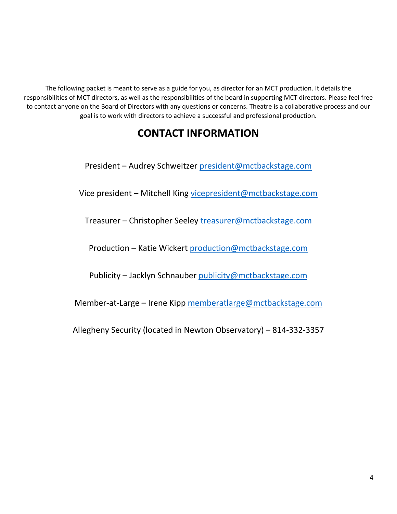The following packet is meant to serve as a guide for you, as director for an MCT production. It details the responsibilities of MCT directors, as well as the responsibilities of the board in supporting MCT directors. Please feel free to contact anyone on the Board of Directors with any questions or concerns. Theatre is a collaborative process and our goal is to work with directors to achieve a successful and professional production.

## **CONTACT INFORMATION**

President – Audrey Schweitzer [president@mctbackstage.com](mailto:president@mctbackstage.com)

Vice president – Mitchell King [vicepresident@mctbackstage.com](mailto:vicepresident@mctbackstage.com)

Treasurer – Christopher Seeley [treasurer@mctbackstage.com](mailto:treasurer@mctbackstage.com)

Production – Katie Wickert [production@mctbackstage.com](mailto:production@mctbackstage.com)

Publicity – Jacklyn Schnauber [publicity@mctbackstage.com](mailto:publicity@mctbackstage.com)

Member-at-Large – Irene Kipp [memberatlarge@mctbackstage.com](mailto:memberatlarge@mctbackstage.com)

Allegheny Security (located in Newton Observatory) – 814-332-3357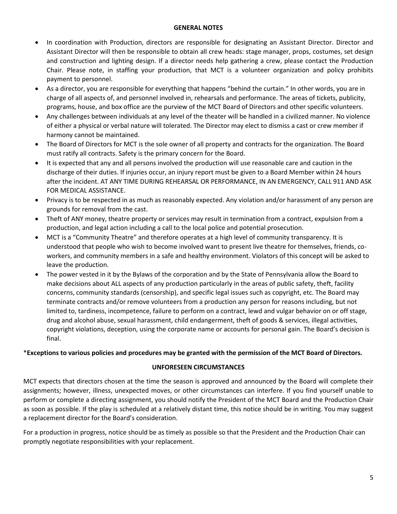#### **GENERAL NOTES**

- In coordination with Production, directors are responsible for designating an Assistant Director. Director and Assistant Director will then be responsible to obtain all crew heads: stage manager, props, costumes, set design and construction and lighting design. If a director needs help gathering a crew, please contact the Production Chair. Please note, in staffing your production, that MCT is a volunteer organization and policy prohibits payment to personnel.
- As a director, you are responsible for everything that happens "behind the curtain." In other words, you are in charge of all aspects of, and personnel involved in, rehearsals and performance. The areas of tickets, publicity, programs, house, and box office are the purview of the MCT Board of Directors and other specific volunteers.
- Any challenges between individuals at any level of the theater will be handled in a civilized manner. No violence of either a physical or verbal nature will tolerated. The Director may elect to dismiss a cast or crew member if harmony cannot be maintained.
- The Board of Directors for MCT is the sole owner of all property and contracts for the organization. The Board must ratify all contracts. Safety is the primary concern for the Board.
- It is expected that any and all persons involved the production will use reasonable care and caution in the discharge of their duties. If injuries occur, an injury report must be given to a Board Member within 24 hours after the incident. AT ANY TIME DURING REHEARSAL OR PERFORMANCE, IN AN EMERGENCY, CALL 911 AND ASK FOR MEDICAL ASSISTANCE.
- Privacy is to be respected in as much as reasonably expected. Any violation and/or harassment of any person are grounds for removal from the cast.
- Theft of ANY money, theatre property or services may result in termination from a contract, expulsion from a production, and legal action including a call to the local police and potential prosecution.
- MCT is a "Community Theatre" and therefore operates at a high level of community transparency. It is understood that people who wish to become involved want to present live theatre for themselves, friends, coworkers, and community members in a safe and healthy environment. Violators of this concept will be asked to leave the production.
- The power vested in it by the Bylaws of the corporation and by the State of Pennsylvania allow the Board to make decisions about ALL aspects of any production particularly in the areas of public safety, theft, facility concerns, community standards (censorship), and specific legal issues such as copyright, etc. The Board may terminate contracts and/or remove volunteers from a production any person for reasons including, but not limited to, tardiness, incompetence, failure to perform on a contract, lewd and vulgar behavior on or off stage, drug and alcohol abuse, sexual harassment, child endangerment, theft of goods & services, illegal activities, copyright violations, deception, using the corporate name or accounts for personal gain. The Board's decision is final.

#### \***Exceptions to various policies and procedures may be granted with the permission of the MCT Board of Directors.**

#### **UNFORESEEN CIRCUMSTANCES**

MCT expects that directors chosen at the time the season is approved and announced by the Board will complete their assignments; however, illness, unexpected moves, or other circumstances can interfere. If you find yourself unable to perform or complete a directing assignment, you should notify the President of the MCT Board and the Production Chair as soon as possible. If the play is scheduled at a relatively distant time, this notice should be in writing. You may suggest a replacement director for the Board's consideration.

For a production in progress, notice should be as timely as possible so that the President and the Production Chair can promptly negotiate responsibilities with your replacement.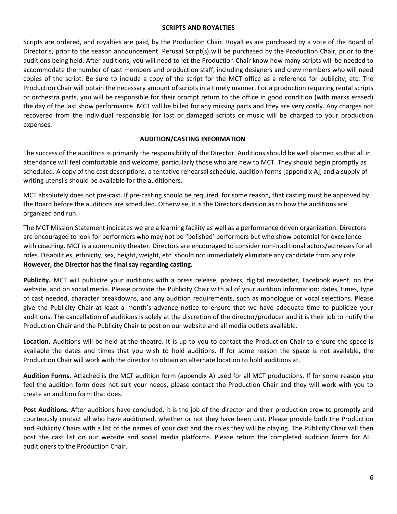#### **SCRIPTS AND ROYALTIES**

Scripts are ordered, and royalties are paid, by the Production Chair. Royalties are purchased by a vote of the Board of Director's, prior to the season announcement. Perusal Script(s) will be purchased by the Production Chair, prior to the auditions being held. After auditions, you will need to let the Production Chair know how many scripts will be needed to accommodate the number of cast members and production staff, including designers and crew members who will need copies of the script. Be sure to include a copy of the script for the MCT office as a reference for publicity, etc. The Production Chair will obtain the necessary amount of scripts in a timely manner. For a production requiring rental scripts or orchestra parts, you will be responsible for their prompt return to the office in good condition (with marks erased) the day of the last show performance. MCT will be billed for any missing parts and they are very costly. Any charges not recovered from the individual responsible for lost or damaged scripts or music will be charged to your production expenses.

#### **AUDITION/CASTING INFORMATION**

The success of the auditions is primarily the responsibility of the Director. Auditions should be well planned so that all in attendance will feel comfortable and welcome, particularly those who are new to MCT. They should begin promptly as scheduled. A copy of the cast descriptions, a tentative rehearsal schedule, audition forms [appendix A], and a supply of writing utensils should be available for the auditioners.

MCT absolutely does not pre-cast. If pre-casting should be required, for some reason, that casting must be approved by the Board before the auditions are scheduled. Otherwise, it is the Directors decision as to how the auditions are organized and run.

The MCT Mission Statement indicates we are a learning facility as well as a performance driven organization. Directors are encouraged to look for performers who may not be "polished' performers but who show potential for excellence with coaching. MCT is a community theater. Directors are encouraged to consider non-traditional actors/actresses for all roles. Disabilities, ethnicity, sex, height, weight, etc. should not immediately eliminate any candidate from any role. **However, the Director has the final say regarding casting.**

**Publicity.** MCT will publicize your auditions with a press release, posters, digital newsletter, Facebook event, on the website, and on social media. Please provide the Publicity Chair with all of your audition information: dates, times, type of cast needed, character breakdowns, and any audition requirements, such as monologue or vocal selections. Please give the Publicity Chair at least a month's advance notice to ensure that we have adequate time to publicize your auditions. The cancellation of auditions is solely at the discretion of the director/producer and it is their job to notify the Production Chair and the Publicity Chair to post on our website and all media outlets available.

**Location.** Auditions will be held at the theatre. It is up to you to contact the Production Chair to ensure the space is available the dates and times that you wish to hold auditions. If for some reason the space is not available, the Production Chair will work with the director to obtain an alternate location to hold auditions at.

**Audition Forms.** Attached is the MCT audition form (appendix A) used for all MCT productions. If for some reason you feel the audition form does not suit your needs, please contact the Production Chair and they will work with you to create an audition form that does.

**Post Auditions.** After auditions have concluded, it is the job of the director and their production crew to promptly and courteously contact all who have auditioned, whether or not they have been cast. Please provide both the Production and Publicity Chairs with a list of the names of your cast and the roles they will be playing. The Publicity Chair will then post the cast list on our website and social media platforms. Please return the completed audition forms for ALL auditioners to the Production Chair.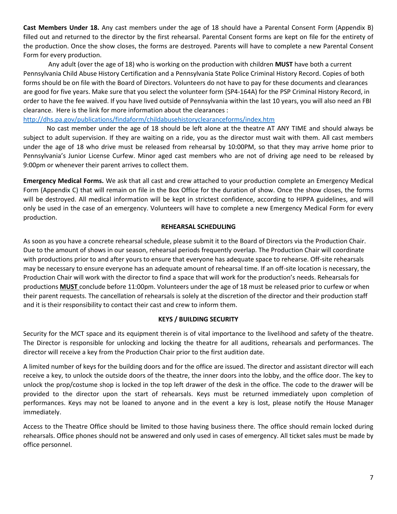**Cast Members Under 18.** Any cast members under the age of 18 should have a Parental Consent Form (Appendix B) filled out and returned to the director by the first rehearsal. Parental Consent forms are kept on file for the entirety of the production. Once the show closes, the forms are destroyed. Parents will have to complete a new Parental Consent Form for every production.

Any adult (over the age of 18) who is working on the production with children **MUST** have both a current Pennsylvania Child Abuse History Certification and a Pennsylvania State Police Criminal History Record. Copies of both forms should be on file with the Board of Directors. Volunteers do not have to pay for these documents and clearances are good for five years. Make sure that you select the volunteer form (SP4-164A) for the PSP Criminal History Record, in order to have the fee waived. If you have lived outside of Pennsylvania within the last 10 years, you will also need an FBI clearance. Here is the link for more information about the clearances :

#### <http://dhs.pa.gov/publications/findaform/childabusehistoryclearanceforms/index.htm>

No cast member under the age of 18 should be left alone at the theatre AT ANY TIME and should always be subject to adult supervision. If they are waiting on a ride, you as the director must wait with them. All cast members under the age of 18 who drive must be released from rehearsal by 10:00PM, so that they may arrive home prior to Pennsylvania's Junior License Curfew. Minor aged cast members who are not of driving age need to be released by 9:00pm or whenever their parent arrives to collect them.

**Emergency Medical Forms.** We ask that all cast and crew attached to your production complete an Emergency Medical Form (Appendix C) that will remain on file in the Box Office for the duration of show. Once the show closes, the forms will be destroyed. All medical information will be kept in strictest confidence, according to HIPPA guidelines, and will only be used in the case of an emergency. Volunteers will have to complete a new Emergency Medical Form for every production.

#### **REHEARSAL SCHEDULING**

As soon as you have a concrete rehearsal schedule, please submit it to the Board of Directors via the Production Chair. Due to the amount of shows in our season, rehearsal periods frequently overlap. The Production Chair will coordinate with productions prior to and after yours to ensure that everyone has adequate space to rehearse. Off-site rehearsals may be necessary to ensure everyone has an adequate amount of rehearsal time. If an off-site location is necessary, the Production Chair will work with the director to find a space that will work for the production's needs. Rehearsals for productions **MUST** conclude before 11:00pm. Volunteers under the age of 18 must be released prior to curfew or when their parent requests. The cancellation of rehearsals is solely at the discretion of the director and their production staff and it is their responsibility to contact their cast and crew to inform them.

#### **KEYS / BUILDING SECURITY**

Security for the MCT space and its equipment therein is of vital importance to the livelihood and safety of the theatre. The Director is responsible for unlocking and locking the theatre for all auditions, rehearsals and performances. The director will receive a key from the Production Chair prior to the first audition date.

A limited number of keys for the building doors and for the office are issued. The director and assistant director will each receive a key, to unlock the outside doors of the theatre, the inner doors into the lobby, and the office door. The key to unlock the prop/costume shop is locked in the top left drawer of the desk in the office. The code to the drawer will be provided to the director upon the start of rehearsals. Keys must be returned immediately upon completion of performances. Keys may not be loaned to anyone and in the event a key is lost, please notify the House Manager immediately.

Access to the Theatre Office should be limited to those having business there. The office should remain locked during rehearsals. Office phones should not be answered and only used in cases of emergency. All ticket sales must be made by office personnel.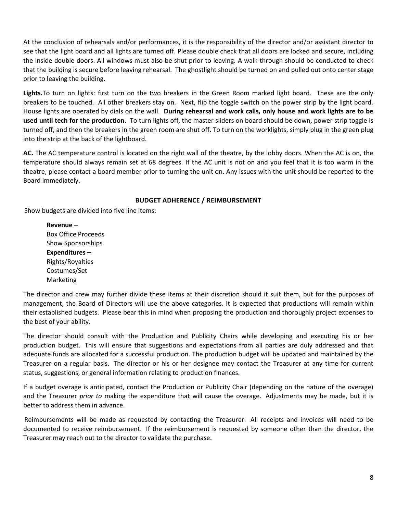At the conclusion of rehearsals and/or performances, it is the responsibility of the director and/or assistant director to see that the light board and all lights are turned off. Please double check that all doors are locked and secure, including the inside double doors. All windows must also be shut prior to leaving. A walk-through should be conducted to check that the building is secure before leaving rehearsal. The ghostlight should be turned on and pulled out onto center stage prior to leaving the building.

**Lights.**To turn on lights: first turn on the two breakers in the Green Room marked light board. These are the only breakers to be touched. All other breakers stay on. Next, flip the toggle switch on the power strip by the light board. House lights are operated by dials on the wall. **During rehearsal and work calls, only house and work lights are to be used until tech for the production.** To turn lights off, the master sliders on board should be down, power strip toggle is turned off, and then the breakers in the green room are shut off. To turn on the worklights, simply plug in the green plug into the strip at the back of the lightboard.

**AC.** The AC temperature control is located on the right wall of the theatre, by the lobby doors. When the AC is on, the temperature should always remain set at 68 degrees. If the AC unit is not on and you feel that it is too warm in the theatre, please contact a board member prior to turning the unit on. Any issues with the unit should be reported to the Board immediately.

#### **BUDGET ADHERENCE / REIMBURSEMENT**

Show budgets are divided into five line items:

**Revenue –** Box Office Proceeds Show Sponsorships **Expenditures –** Rights/Royalties Costumes/Set Marketing

The director and crew may further divide these items at their discretion should it suit them, but for the purposes of management, the Board of Directors will use the above categories. It is expected that productions will remain within their established budgets. Please bear this in mind when proposing the production and thoroughly project expenses to the best of your ability.

The director should consult with the Production and Publicity Chairs while developing and executing his or her production budget. This will ensure that suggestions and expectations from all parties are duly addressed and that adequate funds are allocated for a successful production. The production budget will be updated and maintained by the Treasurer on a regular basis. The director or his or her designee may contact the Treasurer at any time for current status, suggestions, or general information relating to production finances.

If a budget overage is anticipated, contact the Production or Publicity Chair (depending on the nature of the overage) and the Treasurer *prior to* making the expenditure that will cause the overage. Adjustments may be made, but it is better to address them in advance.

Reimbursements will be made as requested by contacting the Treasurer. All receipts and invoices will need to be documented to receive reimbursement. If the reimbursement is requested by someone other than the director, the Treasurer may reach out to the director to validate the purchase.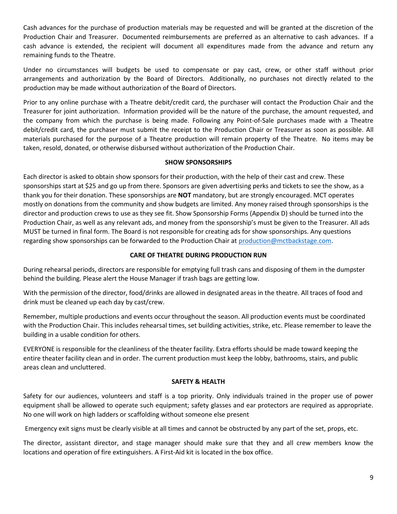Cash advances for the purchase of production materials may be requested and will be granted at the discretion of the Production Chair and Treasurer. Documented reimbursements are preferred as an alternative to cash advances. If a cash advance is extended, the recipient will document all expenditures made from the advance and return any remaining funds to the Theatre.

Under no circumstances will budgets be used to compensate or pay cast, crew, or other staff without prior arrangements and authorization by the Board of Directors. Additionally, no purchases not directly related to the production may be made without authorization of the Board of Directors.

Prior to any online purchase with a Theatre debit/credit card, the purchaser will contact the Production Chair and the Treasurer for joint authorization. Information provided will be the nature of the purchase, the amount requested, and the company from which the purchase is being made. Following any Point-of-Sale purchases made with a Theatre debit/credit card, the purchaser must submit the receipt to the Production Chair or Treasurer as soon as possible. All materials purchased for the purpose of a Theatre production will remain property of the Theatre. No items may be taken, resold, donated, or otherwise disbursed without authorization of the Production Chair.

#### **SHOW SPONSORSHIPS**

Each director is asked to obtain show sponsors for their production, with the help of their cast and crew. These sponsorships start at \$25 and go up from there. Sponsors are given advertising perks and tickets to see the show, as a thank you for their donation. These sponsorships are **NOT** mandatory, but are strongly encouraged. MCT operates mostly on donations from the community and show budgets are limited. Any money raised through sponsorships is the director and production crews to use as they see fit. Show Sponsorship Forms (Appendix D) should be turned into the Production Chair, as well as any relevant ads, and money from the sponsorship's must be given to the Treasurer. All ads MUST be turned in final form. The Board is not responsible for creating ads for show sponsorships. Any questions regarding show sponsorships can be forwarded to the Production Chair at [production@mctbackstage.com.](mailto:production@mctbackstage.com)

#### **CARE OF THEATRE DURING PRODUCTION RUN**

During rehearsal periods, directors are responsible for emptying full trash cans and disposing of them in the dumpster behind the building. Please alert the House Manager if trash bags are getting low.

With the permission of the director, food/drinks are allowed in designated areas in the theatre. All traces of food and drink must be cleaned up each day by cast/crew.

Remember, multiple productions and events occur throughout the season. All production events must be coordinated with the Production Chair. This includes rehearsal times, set building activities, strike, etc. Please remember to leave the building in a usable condition for others.

EVERYONE is responsible for the cleanliness of the theater facility. Extra efforts should be made toward keeping the entire theater facility clean and in order. The current production must keep the lobby, bathrooms, stairs, and public areas clean and uncluttered.

#### **SAFETY & HEALTH**

Safety for our audiences, volunteers and staff is a top priority. Only individuals trained in the proper use of power equipment shall be allowed to operate such equipment; safety glasses and ear protectors are required as appropriate. No one will work on high ladders or scaffolding without someone else present

Emergency exit signs must be clearly visible at all times and cannot be obstructed by any part of the set, props, etc.

The director, assistant director, and stage manager should make sure that they and all crew members know the locations and operation of fire extinguishers. A First-Aid kit is located in the box office.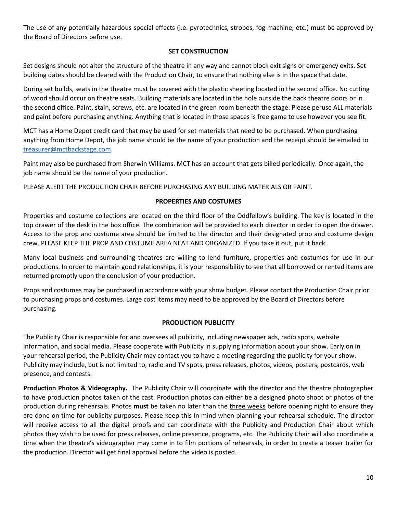The use of any potentially hazardous special effects (i.e. pyrotechnics, strobes, fog machine, etc.) must be approved by the Board of Directors before use.

#### **SET CONSTRUCTION**

Set designs should not alter the structure of the theatre in any way and cannot block exit signs or emergency exits. Set building dates should be cleared with the Production Chair, to ensure that nothing else is in the space that date.

During set builds, seats in the theatre must be covered with the plastic sheeting located in the second office. No cutting of wood should occur on theatre seats. Building materials are located in the hole outside the back theatre doors or in the second office. Paint, stain, screws, etc. are located in the green room beneath the stage. Please peruse ALL materials and paint before purchasing anything. Anything that is located in those spaces is free game to use however you see fit.

MCT has a Home Depot credit card that may be used for set materials that need to be purchased. When purchasing anything from Home Depot, the job name should be the name of your production and the receipt should be emailed to [treasurer@mctbackstage.com.](mailto:treasurer@mctbackstage.com)

Paint may also be purchased from Sherwin Williams. MCT has an account that gets billed periodically. Once again, the job name should be the name of your production.

PLEASE ALERT THE PRODUCTION CHAIR BEFORE PURCHASING ANY BUILDING MATERIALS OR PAINT.

#### **PROPERTIES AND COSTUMES**

Properties and costume collections are located on the third floor of the Oddfellow's building. The key is located in the top drawer of the desk in the box office. The combination will be provided to each director in order to open the drawer. Access to the prop and costume area should be limited to the director and their designated prop and costume design crew. PLEASE KEEP THE PROP AND COSTUME AREA NEAT AND ORGANIZED. If you take it out, put it back.

Many local business and surrounding theatres are willing to lend furniture, properties and costumes for use in our productions. In order to maintain good relationships, it is your responsibility to see that all borrowed or rented items are returned promptly upon the conclusion of your production.

Props and costumes may be purchased in accordance with your show budget. Please contact the Production Chair prior to purchasing props and costumes. Large cost items may need to be approved by the Board of Directors before purchasing.

#### **PRODUCTION PUBLICITY**

The Publicity Chair is responsible for and oversees all publicity, including newspaper ads, radio spots, website information, and social media. Please cooperate with Publicity in supplying information about your show. Early on in your rehearsal period, the Publicity Chair may contact you to have a meeting regarding the publicity for your show. Publicity may include, but is not limited to, radio and TV spots, press releases, photos, videos, posters, postcards, web presence, and contests.

**Production Photos & Videography.** The Publicity Chair will coordinate with the director and the theatre photographer to have production photos taken of the cast. Production photos can either be a designed photo shoot or photos of the production during rehearsals. Photos **must** be taken no later than the three weeks before opening night to ensure they are done on time for publicity purposes. Please keep this in mind when planning your rehearsal schedule. The director will receive access to all the digital proofs and can coordinate with the Publicity and Production Chair about which photos they wish to be used for press releases, online presence, programs, etc. The Publicity Chair will also coordinate a time when the theatre's videographer may come in to film portions of rehearsals, in order to create a teaser trailer for the production. Director will get final approval before the video is posted.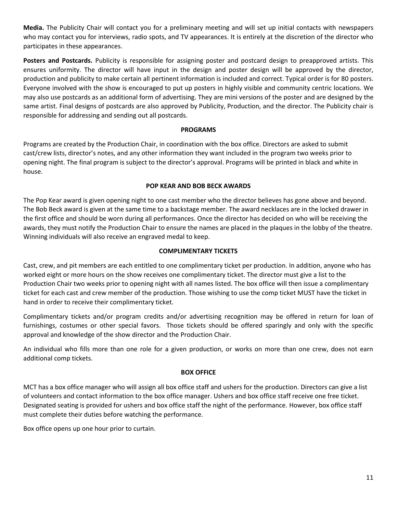**Media.** The Publicity Chair will contact you for a preliminary meeting and will set up initial contacts with newspapers who may contact you for interviews, radio spots, and TV appearances. It is entirely at the discretion of the director who participates in these appearances.

**Posters and Postcards.** Publicity is responsible for assigning poster and postcard design to preapproved artists. This ensures uniformity. The director will have input in the design and poster design will be approved by the director, production and publicity to make certain all pertinent information is included and correct. Typical order is for 80 posters. Everyone involved with the show is encouraged to put up posters in highly visible and community centric locations. We may also use postcards as an additional form of advertising. They are mini versions of the poster and are designed by the same artist. Final designs of postcards are also approved by Publicity, Production, and the director. The Publicity chair is responsible for addressing and sending out all postcards.

#### **PROGRAMS**

Programs are created by the Production Chair, in coordination with the box office. Directors are asked to submit cast/crew lists, director's notes, and any other information they want included in the program two weeks prior to opening night. The final program is subject to the director's approval. Programs will be printed in black and white in house.

#### **POP KEAR AND BOB BECK AWARDS**

The Pop Kear award is given opening night to one cast member who the director believes has gone above and beyond. The Bob Beck award is given at the same time to a backstage member. The award necklaces are in the locked drawer in the first office and should be worn during all performances. Once the director has decided on who will be receiving the awards, they must notify the Production Chair to ensure the names are placed in the plaques in the lobby of the theatre. Winning individuals will also receive an engraved medal to keep.

#### **COMPLIMENTARY TICKETS**

Cast, crew, and pit members are each entitled to one complimentary ticket per production. In addition, anyone who has worked eight or more hours on the show receives one complimentary ticket. The director must give a list to the Production Chair two weeks prior to opening night with all names listed. The box office will then issue a complimentary ticket for each cast and crew member of the production. Those wishing to use the comp ticket MUST have the ticket in hand in order to receive their complimentary ticket.

Complimentary tickets and/or program credits and/or advertising recognition may be offered in return for loan of furnishings, costumes or other special favors. Those tickets should be offered sparingly and only with the specific approval and knowledge of the show director and the Production Chair.

An individual who fills more than one role for a given production, or works on more than one crew, does not earn additional comp tickets.

#### **BOX OFFICE**

MCT has a box office manager who will assign all box office staff and ushers for the production. Directors can give a list of volunteers and contact information to the box office manager. Ushers and box office staff receive one free ticket. Designated seating is provided for ushers and box office staff the night of the performance. However, box office staff must complete their duties before watching the performance.

Box office opens up one hour prior to curtain.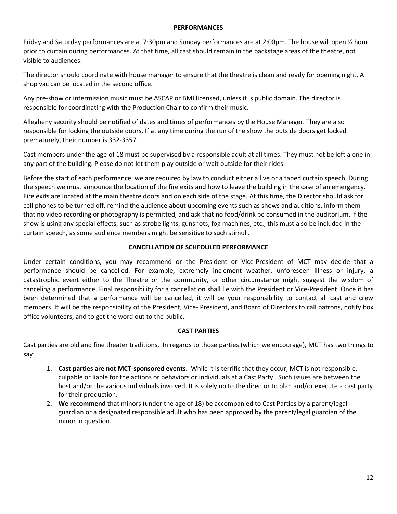#### **PERFORMANCES**

Friday and Saturday performances are at 7:30pm and Sunday performances are at 2:00pm. The house will open ½ hour prior to curtain during performances. At that time, all cast should remain in the backstage areas of the theatre, not visible to audiences.

The director should coordinate with house manager to ensure that the theatre is clean and ready for opening night. A shop vac can be located in the second office.

Any pre-show or intermission music must be ASCAP or BMI licensed, unless it is public domain. The director is responsible for coordinating with the Production Chair to confirm their music.

Allegheny security should be notified of dates and times of performances by the House Manager. They are also responsible for locking the outside doors. If at any time during the run of the show the outside doors get locked prematurely, their number is 332-3357.

Cast members under the age of 18 must be supervised by a responsible adult at all times. They must not be left alone in any part of the building. Please do not let them play outside or wait outside for their rides.

Before the start of each performance, we are required by law to conduct either a live or a taped curtain speech. During the speech we must announce the location of the fire exits and how to leave the building in the case of an emergency. Fire exits are located at the main theatre doors and on each side of the stage. At this time, the Director should ask for cell phones to be turned off, remind the audience about upcoming events such as shows and auditions, inform them that no video recording or photography is permitted, and ask that no food/drink be consumed in the auditorium. If the show is using any special effects, such as strobe lights, gunshots, fog machines, etc., this must also be included in the curtain speech, as some audience members might be sensitive to such stimuli.

#### **CANCELLATION OF SCHEDULED PERFORMANCE**

Under certain conditions, you may recommend or the President or Vice-President of MCT may decide that a performance should be cancelled. For example, extremely inclement weather, unforeseen illness or injury, a catastrophic event either to the Theatre or the community, or other circumstance might suggest the wisdom of canceling a performance. Final responsibility for a cancellation shall lie with the President or Vice-President. Once it has been determined that a performance will be cancelled, it will be your responsibility to contact all cast and crew members. It will be the responsibility of the President, Vice- President, and Board of Directors to call patrons, notify box office volunteers, and to get the word out to the public.

#### **CAST PARTIES**

Cast parties are old and fine theater traditions. In regards to those parties (which we encourage), MCT has two things to say:

- 1. **Cast parties are not MCT-sponsored events.** While it is terrific that they occur, MCT is not responsible, culpable or liable for the actions or behaviors or individuals at a Cast Party. Such issues are between the host and/or the various individuals involved. It is solely up to the director to plan and/or execute a cast party for their production.
- 2. **We recommend** that minors (under the age of 18) be accompanied to Cast Parties by a parent/legal guardian or a designated responsible adult who has been approved by the parent/legal guardian of the minor in question.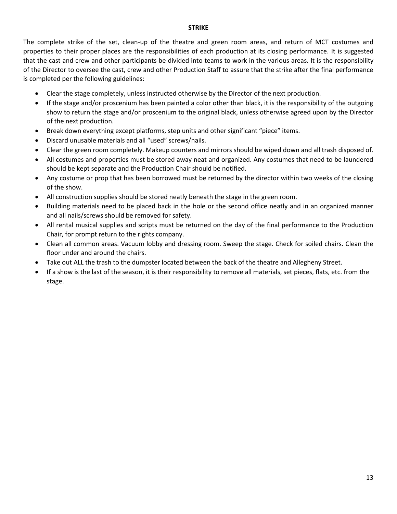#### **STRIKE**

The complete strike of the set, clean-up of the theatre and green room areas, and return of MCT costumes and properties to their proper places are the responsibilities of each production at its closing performance. It is suggested that the cast and crew and other participants be divided into teams to work in the various areas. It is the responsibility of the Director to oversee the cast, crew and other Production Staff to assure that the strike after the final performance is completed per the following guidelines:

- Clear the stage completely, unless instructed otherwise by the Director of the next production.
- If the stage and/or proscenium has been painted a color other than black, it is the responsibility of the outgoing show to return the stage and/or proscenium to the original black, unless otherwise agreed upon by the Director of the next production.
- Break down everything except platforms, step units and other significant "piece" items.
- Discard unusable materials and all "used" screws/nails.
- Clear the green room completely. Makeup counters and mirrors should be wiped down and all trash disposed of.
- All costumes and properties must be stored away neat and organized. Any costumes that need to be laundered should be kept separate and the Production Chair should be notified.
- Any costume or prop that has been borrowed must be returned by the director within two weeks of the closing of the show.
- All construction supplies should be stored neatly beneath the stage in the green room.
- Building materials need to be placed back in the hole or the second office neatly and in an organized manner and all nails/screws should be removed for safety.
- All rental musical supplies and scripts must be returned on the day of the final performance to the Production Chair, for prompt return to the rights company.
- Clean all common areas. Vacuum lobby and dressing room. Sweep the stage. Check for soiled chairs. Clean the floor under and around the chairs.
- Take out ALL the trash to the dumpster located between the back of the theatre and Allegheny Street.
- If a show is the last of the season, it is their responsibility to remove all materials, set pieces, flats, etc. from the stage.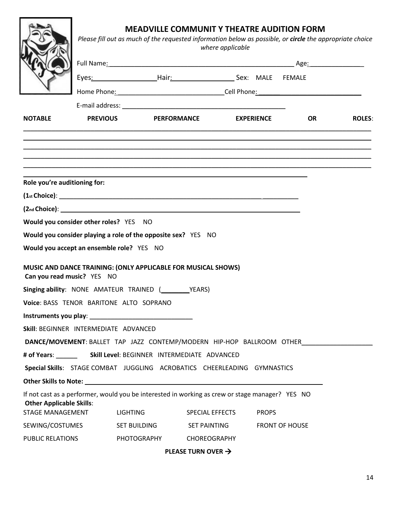## **MEADVILLE COMMUNIT Y THEATRE AUDITION FORM**

|                                           | <b>MEADVILLE COMMUNIT Y THEATRE AUDITION FORM</b><br>Please fill out as much of the requested information below as possible, or circle the appropriate choice<br>where applicable |                                                                                                 |                                |  |              |                       |                                                                       |
|-------------------------------------------|-----------------------------------------------------------------------------------------------------------------------------------------------------------------------------------|-------------------------------------------------------------------------------------------------|--------------------------------|--|--------------|-----------------------|-----------------------------------------------------------------------|
|                                           |                                                                                                                                                                                   |                                                                                                 |                                |  |              |                       |                                                                       |
|                                           |                                                                                                                                                                                   | Eyes: MALE FEMALE                                                                               |                                |  |              |                       |                                                                       |
|                                           |                                                                                                                                                                                   |                                                                                                 |                                |  |              |                       |                                                                       |
|                                           |                                                                                                                                                                                   |                                                                                                 |                                |  |              |                       |                                                                       |
| <b>NOTABLE</b>                            |                                                                                                                                                                                   | <b>PREVIOUS</b>                                                                                 | PERFORMANCE EXPERIENCE OR      |  |              |                       | <b>ROLES:</b>                                                         |
|                                           |                                                                                                                                                                                   |                                                                                                 |                                |  |              |                       |                                                                       |
|                                           |                                                                                                                                                                                   |                                                                                                 |                                |  |              |                       |                                                                       |
|                                           |                                                                                                                                                                                   |                                                                                                 |                                |  |              |                       |                                                                       |
|                                           |                                                                                                                                                                                   |                                                                                                 |                                |  |              |                       |                                                                       |
| Role you're auditioning for:              |                                                                                                                                                                                   |                                                                                                 |                                |  |              |                       |                                                                       |
|                                           |                                                                                                                                                                                   |                                                                                                 |                                |  |              |                       |                                                                       |
|                                           |                                                                                                                                                                                   | (2 <sub>nd</sub> Choice):                                                                       |                                |  |              |                       |                                                                       |
| Would you consider other roles? YES NO    |                                                                                                                                                                                   |                                                                                                 |                                |  |              |                       |                                                                       |
|                                           |                                                                                                                                                                                   | Would you consider playing a role of the opposite sex? YES NO                                   |                                |  |              |                       |                                                                       |
| Would you accept an ensemble role? YES NO |                                                                                                                                                                                   |                                                                                                 |                                |  |              |                       |                                                                       |
|                                           |                                                                                                                                                                                   | MUSIC AND DANCE TRAINING: (ONLY APPLICABLE FOR MUSICAL SHOWS)                                   |                                |  |              |                       |                                                                       |
| Can you read music? YES NO                |                                                                                                                                                                                   |                                                                                                 |                                |  |              |                       |                                                                       |
|                                           |                                                                                                                                                                                   | Singing ability: NONE AMATEUR TRAINED (WEARS)                                                   |                                |  |              |                       |                                                                       |
|                                           |                                                                                                                                                                                   | Voice: BASS TENOR BARITONE ALTO SOPRANO                                                         |                                |  |              |                       |                                                                       |
|                                           |                                                                                                                                                                                   |                                                                                                 |                                |  |              |                       |                                                                       |
| Skill: BEGINNER INTERMEDIATE ADVANCED     |                                                                                                                                                                                   |                                                                                                 |                                |  |              |                       |                                                                       |
|                                           |                                                                                                                                                                                   |                                                                                                 |                                |  |              |                       | DANCE/MOVEMENT: BALLET TAP JAZZ CONTEMP/MODERN HIP-HOP BALLROOM OTHER |
|                                           |                                                                                                                                                                                   |                                                                                                 |                                |  |              |                       |                                                                       |
|                                           |                                                                                                                                                                                   | Special Skills: STAGE COMBAT JUGGLING ACROBATICS CHEERLEADING GYMNASTICS                        |                                |  |              |                       |                                                                       |
|                                           |                                                                                                                                                                                   |                                                                                                 |                                |  |              |                       |                                                                       |
| <b>Other Applicable Skills:</b>           |                                                                                                                                                                                   | If not cast as a performer, would you be interested in working as crew or stage manager? YES NO |                                |  |              |                       |                                                                       |
| STAGE MANAGEMENT                          |                                                                                                                                                                                   | <b>LIGHTING</b>                                                                                 | SPECIAL EFFECTS                |  | <b>PROPS</b> |                       |                                                                       |
| SEWING/COSTUMES                           |                                                                                                                                                                                   | SET BUILDING                                                                                    | SET PAINTING                   |  |              | <b>FRONT OF HOUSE</b> |                                                                       |
| PUBLIC RELATIONS                          |                                                                                                                                                                                   | PHOTOGRAPHY CHOREOGRAPHY                                                                        |                                |  |              |                       |                                                                       |
|                                           |                                                                                                                                                                                   |                                                                                                 | PLEASE TURN OVER $\rightarrow$ |  |              |                       |                                                                       |

14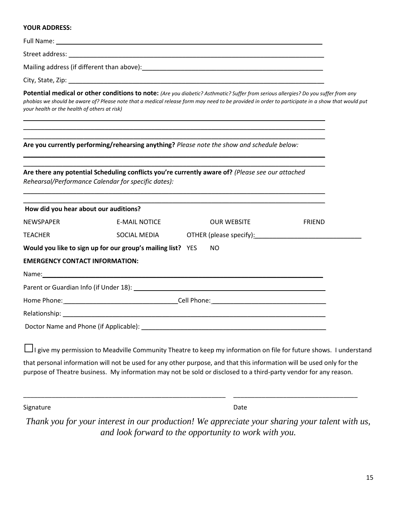#### **YOUR ADDRESS:**

| Full Name: _                                 | <u> 1989 - Jan James James James James James James James James James James James James James James James James J</u>                                                                                                                                                                  |                                                                                                                                                                                                                               |        |
|----------------------------------------------|---------------------------------------------------------------------------------------------------------------------------------------------------------------------------------------------------------------------------------------------------------------------------------------|-------------------------------------------------------------------------------------------------------------------------------------------------------------------------------------------------------------------------------|--------|
|                                              |                                                                                                                                                                                                                                                                                       |                                                                                                                                                                                                                               |        |
|                                              |                                                                                                                                                                                                                                                                                       |                                                                                                                                                                                                                               |        |
|                                              |                                                                                                                                                                                                                                                                                       |                                                                                                                                                                                                                               |        |
| your health or the health of others at risk) | Potential medical or other conditions to note: (Are you diabetic? Asthmatic? Suffer from serious allergies? Do you suffer from any<br>phobias we should be aware of? Please note that a medical release form may need to be provided in order to participate in a show that would put |                                                                                                                                                                                                                               |        |
|                                              | Are you currently performing/rehearsing anything? Please note the show and schedule below:                                                                                                                                                                                            |                                                                                                                                                                                                                               |        |
|                                              | Are there any potential Scheduling conflicts you're currently aware of? (Please see our attached<br>Rehearsal/Performance Calendar for specific dates):                                                                                                                               |                                                                                                                                                                                                                               |        |
| How did you hear about our auditions?        |                                                                                                                                                                                                                                                                                       |                                                                                                                                                                                                                               |        |
| <b>NEWSPAPER</b>                             | <b>E-MAIL NOTICE</b>                                                                                                                                                                                                                                                                  | <b>OUR WEBSITE</b>                                                                                                                                                                                                            | FRIEND |
| <b>TEACHER</b>                               | SOCIAL MEDIA                                                                                                                                                                                                                                                                          | OTHER (please specify): Notified that the set of the set of the set of the set of the set of the set of the set of the set of the set of the set of the set of the set of the set of the set of the set of the set of the set |        |
|                                              | Would you like to sign up for our group's mailing list? YES                                                                                                                                                                                                                           | NO.                                                                                                                                                                                                                           |        |
| <b>EMERGENCY CONTACT INFORMATION:</b>        |                                                                                                                                                                                                                                                                                       |                                                                                                                                                                                                                               |        |
|                                              |                                                                                                                                                                                                                                                                                       |                                                                                                                                                                                                                               |        |
|                                              |                                                                                                                                                                                                                                                                                       |                                                                                                                                                                                                                               |        |
|                                              |                                                                                                                                                                                                                                                                                       |                                                                                                                                                                                                                               |        |
|                                              |                                                                                                                                                                                                                                                                                       |                                                                                                                                                                                                                               |        |
|                                              | Doctor Name and Phone (if Applicable): Name and Society of Applicable in the Applicable of Applicable in the Applicable of Applicable in the Applicable of Applicable in the Applicable of Applicable in the Applicable of App                                                        |                                                                                                                                                                                                                               |        |
|                                              |                                                                                                                                                                                                                                                                                       |                                                                                                                                                                                                                               |        |

□I give my permission to Meadville Community Theatre to keep my information on file for future shows. I understand

that personal information will not be used for any other purpose, and that this information will be used only for the purpose of Theatre business. My information may not be sold or disclosed to a third-party vendor for any reason.

\_\_\_\_\_\_\_\_\_\_\_\_\_\_\_\_\_\_\_\_\_\_\_\_\_\_\_\_\_\_\_\_\_\_\_\_\_\_\_\_\_\_\_\_\_\_\_\_\_\_\_\_\_\_\_\_\_ \_\_\_\_\_\_\_\_\_\_\_\_\_\_\_\_\_\_\_\_\_\_\_\_\_\_\_\_\_\_\_\_\_\_\_

Signature Date

*Thank you for your interest in our production! We appreciate your sharing your talent with us, and look forward to the opportunity to work with you.*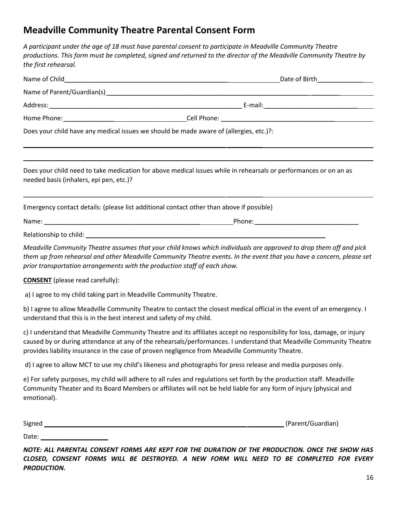## **Meadville Community Theatre Parental Consent Form**

*A participant under the age of 18 must have parental consent to participate in Meadville Community Theatre productions. This form must be completed, signed and returned to the director of the Meadville Community Theatre by the first rehearsal.* 

| Name of Parent/Guardian(s) example and the contract of Parent Contract of Parent Contract of Parent Contract of the contract of the contract of the contract of the contract of the contract of the contract of the contract o |                                                                                                                                                                                                                                                 |
|--------------------------------------------------------------------------------------------------------------------------------------------------------------------------------------------------------------------------------|-------------------------------------------------------------------------------------------------------------------------------------------------------------------------------------------------------------------------------------------------|
|                                                                                                                                                                                                                                |                                                                                                                                                                                                                                                 |
|                                                                                                                                                                                                                                |                                                                                                                                                                                                                                                 |
| Does your child have any medical issues we should be made aware of (allergies, etc.)?:                                                                                                                                         |                                                                                                                                                                                                                                                 |
| needed basis (inhalers, epi pen, etc.)?                                                                                                                                                                                        | Does your child need to take medication for above medical issues while in rehearsals or performances or on an as                                                                                                                                |
| Emergency contact details: (please list additional contact other than above if possible)                                                                                                                                       |                                                                                                                                                                                                                                                 |
|                                                                                                                                                                                                                                |                                                                                                                                                                                                                                                 |
|                                                                                                                                                                                                                                |                                                                                                                                                                                                                                                 |
| prior transportation arrangements with the production staff of each show.                                                                                                                                                      | Meadville Community Theatre assumes that your child knows which individuals are approved to drop them off and pick<br>them up from rehearsal and other Meadville Community Theatre events. In the event that you have a concern, please set     |
| <b>CONSENT</b> (please read carefully):                                                                                                                                                                                        |                                                                                                                                                                                                                                                 |
| a) I agree to my child taking part in Meadville Community Theatre.                                                                                                                                                             |                                                                                                                                                                                                                                                 |
| understand that this is in the best interest and safety of my child.                                                                                                                                                           | b) I agree to allow Meadville Community Theatre to contact the closest medical official in the event of an emergency. I                                                                                                                         |
| provides liability insurance in the case of proven negligence from Meadville Community Theatre.                                                                                                                                | c) I understand that Meadville Community Theatre and its affiliates accept no responsibility for loss, damage, or injury<br>caused by or during attendance at any of the rehearsals/performances. I understand that Meadville Community Theatre |
|                                                                                                                                                                                                                                | d) I agree to allow MCT to use my child's likeness and photographs for press release and media purposes only.                                                                                                                                   |
| emotional).                                                                                                                                                                                                                    | e) For safety purposes, my child will adhere to all rules and regulations set forth by the production staff. Meadville<br>Community Theater and its Board Members or affiliates will not be held liable for any form of injury (physical and    |
| Signed                                                                                                                                                                                                                         | (Parent/Guardian)                                                                                                                                                                                                                               |

Date: \_\_\_\_\_\_\_\_\_\_\_\_\_\_\_\_\_\_\_

*NOTE: ALL PARENTAL CONSENT FORMS ARE KEPT FOR THE DURATION OF THE PRODUCTION. ONCE THE SHOW HAS CLOSED, CONSENT FORMS WILL BE DESTROYED. A NEW FORM WILL NEED TO BE COMPLETED FOR EVERY PRODUCTION.*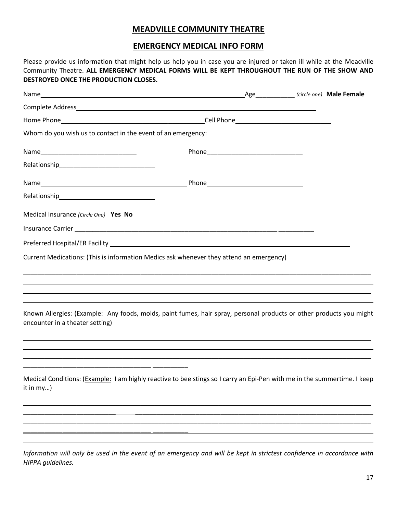#### **MEADVILLE COMMUNITY THEATRE**

#### **EMERGENCY MEDICAL INFO FORM**

Please provide us information that might help us help you in case you are injured or taken ill while at the Meadville Community Theatre. **ALL EMERGENCY MEDICAL FORMS WILL BE KEPT THROUGHOUT THE RUN OF THE SHOW AND DESTROYED ONCE THE PRODUCTION CLOSES.**

|                                                                                                                                                        |  | _Age______________ (circle one) Male Female |
|--------------------------------------------------------------------------------------------------------------------------------------------------------|--|---------------------------------------------|
|                                                                                                                                                        |  |                                             |
|                                                                                                                                                        |  |                                             |
| Whom do you wish us to contact in the event of an emergency:                                                                                           |  |                                             |
|                                                                                                                                                        |  |                                             |
|                                                                                                                                                        |  |                                             |
|                                                                                                                                                        |  |                                             |
|                                                                                                                                                        |  |                                             |
| Medical Insurance (Circle One) Yes No                                                                                                                  |  |                                             |
|                                                                                                                                                        |  |                                             |
|                                                                                                                                                        |  |                                             |
| Current Medications: (This is information Medics ask whenever they attend an emergency)                                                                |  |                                             |
|                                                                                                                                                        |  |                                             |
| Known Allergies: (Example: Any foods, molds, paint fumes, hair spray, personal products or other products you might<br>encounter in a theater setting) |  |                                             |
|                                                                                                                                                        |  |                                             |
| Medical Conditions: (Example: I am highly reactive to bee stings so I carry an Epi-Pen with me in the summertime. I keep<br>it in my)                  |  |                                             |
|                                                                                                                                                        |  |                                             |
|                                                                                                                                                        |  |                                             |
|                                                                                                                                                        |  |                                             |

*Information will only be used in the event of an emergency and will be kept in strictest confidence in accordance with HIPPA guidelines.*